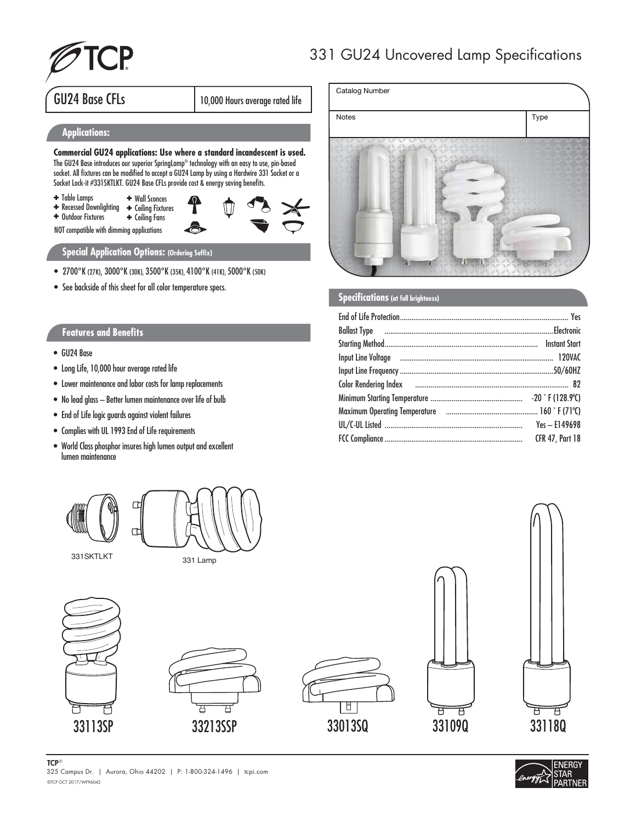

## 331 GU24 Uncovered Lamp Specifications

Notes **Type** 

Catalog Number

## GU24 Base CFLs 10,000 Hours average rated life

#### **Applications:**

**Commercial GU24 applications: Use where a standard incandescent is used.**  The GU24 Base introduces our superior SpringLamp® technology with an easy to use, pin-based socket. All fixtures can be modified to accept a GU24 Lamp by using a Hardwire 331 Socket or a Socket Lock-it #331SKTLKT. GU24 Base CFLs provide cost & energy saving benefits.

- ✚ Table Lamps
- ✚ Wall Sconces ✚ Ceiling Fixtures ✚ Recessed Downlighting

✚ Ceiling Fans ✚ Outdoor Fixtures

NOT compatible with dimming applications

### **Special Application Options: (Ordering Suffix)**

- 2700°K (27K), 3000°K (30K), 3500°K (35K), 4100°K (41K), 5000°K (50K)
- See backside of this sheet for all color temperature specs.

#### **Features and Benefits**

- GU24 Base
- Long Life, 10,000 hour average rated life
- Lower maintenance and labor costs for lamp replacements
- No lead glass Better lumen maintenance over life of bulb
- End of Life logic guards against violent failures
- Complies with UL 1993 End of Life requirements
- World Class phosphor insures high lumen output and excellent lumen maintenance









| Color Rendering Index <b>manufacture and Color Rendering Index</b> 82 |                        |
|-----------------------------------------------------------------------|------------------------|
|                                                                       |                        |
|                                                                       |                        |
|                                                                       | $Yes - E149698$        |
|                                                                       | <b>CFR 47, Part 18</b> |
|                                                                       |                        |